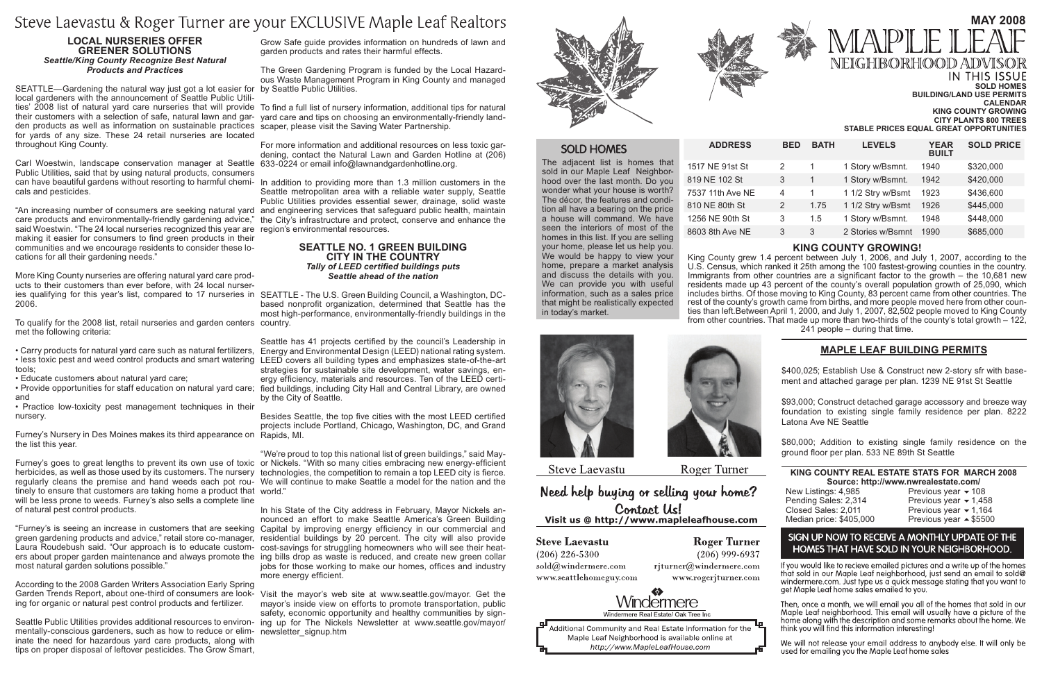| <b>BED</b>     | <b>BATH</b> | <b>LEVELS</b>     | <b>YEAR</b><br><b>BUILT</b> | <b>SOLD PRICE</b> |
|----------------|-------------|-------------------|-----------------------------|-------------------|
| 2              | 1           | 1 Story w/Bsmnt.  | 1940                        | \$320,000         |
| 3              | 1           | 1 Story w/Bsmnt.  | 1942                        | \$420,000         |
| $\overline{4}$ | 1           | 1 1/2 Stry w/Bsmt | 1923                        | \$436,600         |
| 2              | 1.75        | 1 1/2 Stry w/Bsmt | 1926                        | \$445,000         |
| 3              | 1.5         | 1 Story w/Bsmnt.  | 1948                        | \$448,000         |
| 3              | 3           | 2 Stories w/Bsmnt | 1990                        | \$685,000         |

## **MAY 2008** APLE NEIGHIBORHOOD ADV IN THIS ISSUE

**Sold Homes**

**Building/Land Use Permits Calendar King County Growing City Plants 800 Trees Stable Prices equal Great opportunities**

The adjacent list is homes that sold in our Maple Leaf Neighborhood over the last month. Do you wonder what your house is worth? The décor, the features and condition all have a bearing on the price a house will command. We have seen the interiors of most of the homes in this list. If you are selling your home, please let us help you. We would be happy to view your home, prepare a market analysis and discuss the details with you. We can provide you with useful information, such as a sales price that might be realistically expected in today's market.

### $ADDRESS$

1517 NE 91st St 819 NE 102 St 7537 11th Ave NE 810 NE 80th St 1256 NE 90th St 8603 8th Ave NE

> **King County rEAL eSTATE sTATS FOR March 2008 Source: http://www.nwrealestate.com/<br>New Listings: 4,985 Previous year**  $\div$  **10**

New Listings: 4,985 Previous year  $\div$  108<br>
Pending Sales: 2,314 Previous year  $\div$  1,45 Pending Sales: 2,314 Previous year  $\div 1,458$ <br>Closed Sales: 2.011 Previous year  $\div 1.164$ Median price: \$405,000

Previous year  $\div$  1,164<br>Previous year  $\triangle$  \$5500

## SIGN UP NOW TO RECEIVE A MONTHLY UPDATE OF THE HOMES THAT HAVE SOLD IN YOUR NEIGHBORHOOD.

If you would like to recieve emailed pictures and a write up of the homes that sold in our Maple Leaf neighborhood, just send an email to sold@ windermere.com. Just type us a quick message stating that you want to get Maple Leaf home sales emailed to you.

Then, once a month, we will email you all of the homes that sold in our Maple Leaf neighborhood. This email will usually have a picture of the home along with the description and some remarks about the home. We think you will find this information interesting!

We will not release your email address to anybody else. It will only be used for emailing you the Maple Leaf home sales

#### **KING COUNTY GROWING!**

\$80,000; Addition to existing single family residence on the ground floor per plan. 533 NE 89th St Seattle

King County grew 1.4 percent between July 1, 2006, and July 1, 2007, according to the U.S. Census, which ranked it 25th among the 100 fastest-growing counties in the country. Immigrants from other countries are a significant factor to the growth – the 10,681 new residents made up 43 percent of the county's overall population growth of 25,090, which includes births. Of those moving to King County, 83 percent came from other countries. The rest of the county's growth came from births, and more people moved here from other counties than left.Between April 1, 2000, and July 1, 2007, 82,502 people moved to King County from other countries. That made up more than two-thirds of the county's total growth – 122, 241 people – during that time.



**Steve Laevastu** 

**Roger Turner** 

Need help buying or selling your home? Contact Us! Visit us @ http://www.mapleleafhouse.com

#### **Steve Laevastu**

 $(206)$  226-5300 sold@windermere.com www.seattlehomeguy.com

**Roger Turner**  $(206)$  999-6937 rjturner@windermere.com

www.rogerjturner.com





ies qualifying for this year's list, compared to 17 nurseries in SEATTLE - The U.S. Green Building Council, a Washington, DCbased nonprofit organization, determined that Seattle has the most high-performance, environmentally-friendly buildings in the

## **Maple Leaf Building PermitS**

"We're proud to top this national list of green buildings," said May-Furney's goes to great lengths to prevent its own use of toxic or Nickels. "With so many cities embracing new energy-efficient herbicides, as well as those used by its customers. The nursery technologies, the competition to remain a top LEED city is fierce. regularly cleans the premise and hand weeds each pot rou- We will continue to make Seattle a model for the nation and the \$400,025; Establish Use & Construct new 2-story sfr with basement and attached garage per plan. 1239 NE 91st St Seattle

\$93,000; Construct detached garage accessory and breeze way foundation to existing single family residence per plan. 8222 Latona Ave NE Seattle

Visit the mayor's web site at www.seattle.gov/mayor. Get the mayor's inside view on efforts to promote transportation, public safety, economic opportunity and healthy communities by sign-Seattle Public Utilities provides additional resources to environ-  $\,$ ing up for The Nickels Newsletter at www.seattle.gov/mayor/





## **SOLD HOMES**

Grow Safe guide provides information on hundreds of lawn and garden products and rates their harmful effects.

The Green Gardening Program is funded by the Local Hazardous Waste Management Program in King County and managed

ties' 2008 list of natural yard care nurseries that will provide To find a full list of nursery information, additional tips for natural their customers with a selection of safe, natural lawn and gar-  $\,$ yard care and tips on choosing an environmentally-friendly land-

SEATTLE—Gardening the natural way just got a lot easier for by Seattle Public Utilities. den products as well as information on sustainable practices scaper, please visit the Saving Water Partnership. local gardeners with the announcement of Seattle Public Utilifor yards of any size. These 24 retail nurseries are located throughout King County.

For more information and additional resources on less toxic gardening, contact the Natural Lawn and Garden Hotline at (206)

can have beautiful gardens without resorting to harmful chemi- In addition to providing more than 1.3 million customers in the Seattle metropolitan area with a reliable water supply, Seattle Public Utilities provides essential sewer, drainage, solid waste "An increasing number of consumers are seeking natural yard and engineering services that safeguard public health, maintain care products and environmentally-friendly gardening advice," the City's infrastructure and protect, conserve and enhance the

Carl Woestwin, landscape conservation manager at Seattle 633-0224 or email info@lawnandgardenhotline.org. Public Utilities, said that by using natural products, consumers cals and pesticides.

said Woestwin. "The 24 local nurseries recognized this year are  $\,$  region's environmental resources. making it easier for consumers to find green products in their communities and we encourage residents to consider these locations for all their gardening needs."

To qualify for the 2008 list, retail nurseries and garden centers country. met the following criteria:

#### **Seattle No. 1 Green Building City in the Country** *Tally of LEED certified buildings puts Seattle ahead of the nation*

Furney's Nursery in Des Moines makes its third appearance on Rapids, MI. the list this year.

tinely to ensure that customers are taking home a product that world." will be less prone to weeds. Furney's also sells a complete line of natural pest control products.

Seattle has 41 projects certified by the council's Leadership in Energy and Environmental Design (LEED) national rating system. • less toxic pest and weed control products and smart watering LEED covers all building types and emphasizes state-of-the-art strategies for sustainable site development, water savings, energy efficiency, materials and resources. Ten of the LEED certi-• Provide opportunities for staff education on natural yard care; fied buildings, including City Hall and Central Library, are owned by the City of Seattle.

mentally-conscious gardeners, such as how to reduce or elim- newsletter\_signup.htm inate the need for hazardous yard care products, along with tips on proper disposal of leftover pesticides. The Grow Smart,

Besides Seattle, the top five cities with the most LEED certified projects include Portland, Chicago, Washington, DC, and Grand

In his State of the City address in February, Mayor Nickels announced an effort to make Seattle America's Green Building "Furney's is seeing an increase in customers that are seeking Capital by improving energy efficiency in our commercial and residential buildings by 20 percent. The city will also provide cost-savings for struggling homeowners who will see their heaters about proper garden maintenance and always promote the ing bills drop as waste is reduced, and create new green collar jobs for those working to make our homes, offices and industry more energy efficient.

# Steve Laevastu & Roger Turner are your EXCLUSIVE Maple Leaf Realtors

#### **Local Nurseries Offer Greener Solutions** *Seattle/King County Recognize Best Natural Products and Practices*

More King County nurseries are offering natural yard care products to their customers than ever before, with 24 local nurser-2006.

• Carry products for natural yard care such as natural fertilizers,

tools;

• Educate customers about natural yard care;

and

• Practice low-toxicity pest management techniques in their nursery.

green gardening products and advice," retail store co-manager, Laura Roudebush said. "Our approach is to educate custommost natural garden solutions possible."

According to the 2008 Garden Writers Association Early Spring Garden Trends Report, about one-third of consumers are looking for organic or natural pest control products and fertilizer.